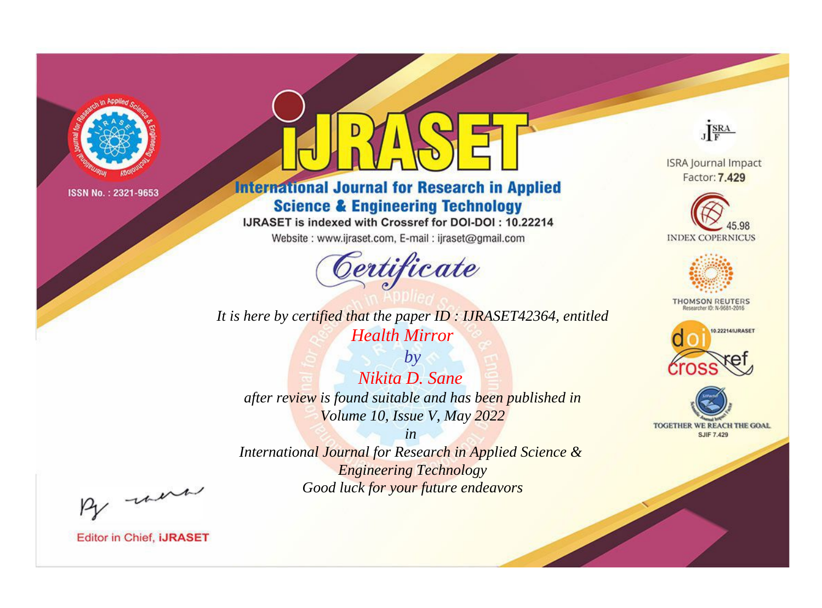

# **International Journal for Research in Applied Science & Engineering Technology**

IJRASET is indexed with Crossref for DOI-DOI: 10.22214

Website: www.ijraset.com, E-mail: ijraset@gmail.com



*It is here by certified that the paper ID : IJRASET42364, entitled Health Mirror*

*by Nikita D. Sane after review is found suitable and has been published in Volume 10, Issue V, May 2022*

*in International Journal for Research in Applied Science & Engineering Technology Good luck for your future endeavors*



**ISRA Journal Impact** Factor: 7.429





**THOMSON REUTERS** 





By morn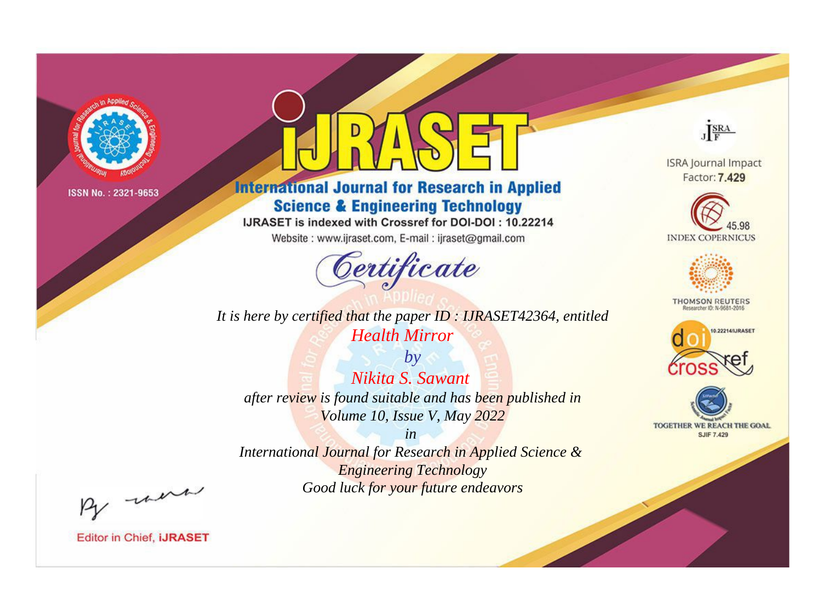

# **International Journal for Research in Applied Science & Engineering Technology**

IJRASET is indexed with Crossref for DOI-DOI: 10.22214

Website: www.ijraset.com, E-mail: ijraset@gmail.com



**ISRA Journal Impact** Factor: 7.429

JERA





**THOMSON REUTERS** 



TOGETHER WE REACH THE GOAL **SJIF 7.429** 

*It is here by certified that the paper ID : IJRASET42364, entitled Health Mirror*

*by Nikita S. Sawant after review is found suitable and has been published in Volume 10, Issue V, May 2022*

*in* 

*International Journal for Research in Applied Science & Engineering Technology Good luck for your future endeavors*

By morn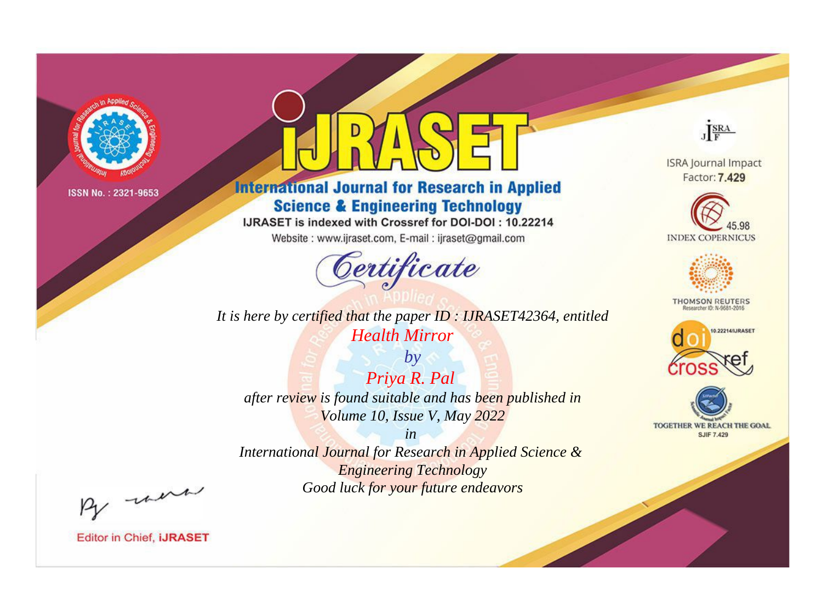

# **International Journal for Research in Applied Science & Engineering Technology**

IJRASET is indexed with Crossref for DOI-DOI: 10.22214

Website: www.ijraset.com, E-mail: ijraset@gmail.com



**ISRA Journal Impact** Factor: 7.429

JERA





**THOMSON REUTERS** 



TOGETHER WE REACH THE GOAL **SJIF 7.429** 

*It is here by certified that the paper ID : IJRASET42364, entitled Health Mirror*

*by Priya R. Pal after review is found suitable and has been published in Volume 10, Issue V, May 2022*

*in* 

*International Journal for Research in Applied Science & Engineering Technology Good luck for your future endeavors*

By morn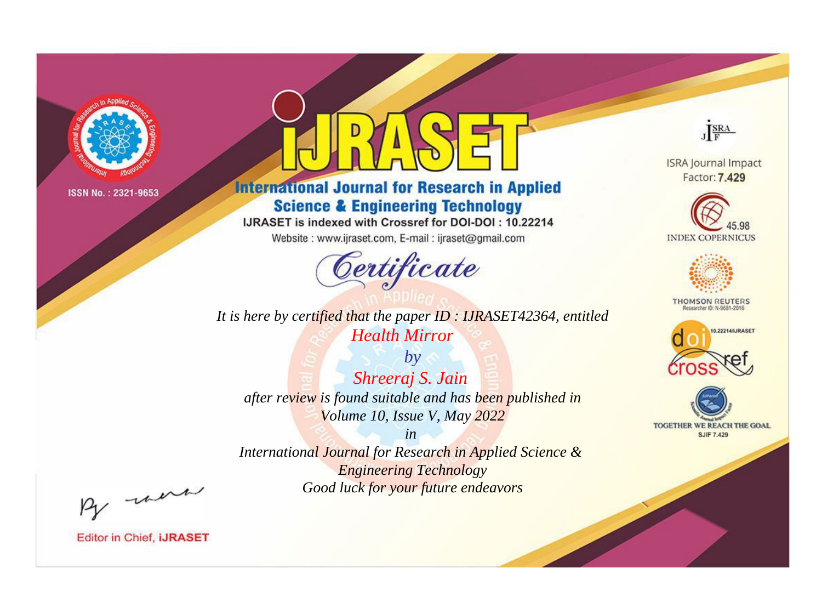

# **International Journal for Research in Applied Science & Engineering Technology**

IJRASET is indexed with Crossref for DOI-DOI: 10.22214

Website: www.ijraset.com, E-mail: ijraset@gmail.com



**ISRA Journal Impact** Factor: 7.429

JERA





**THOMSON REUTERS** 



TOGETHER WE REACH THE GOAL **SJIF 7.429** 

*It is here by certified that the paper ID : IJRASET42364, entitled Health Mirror*

*by Shreeraj S. Jain after review is found suitable and has been published in Volume 10, Issue V, May 2022*

*in* 

*International Journal for Research in Applied Science & Engineering Technology Good luck for your future endeavors*

By morn